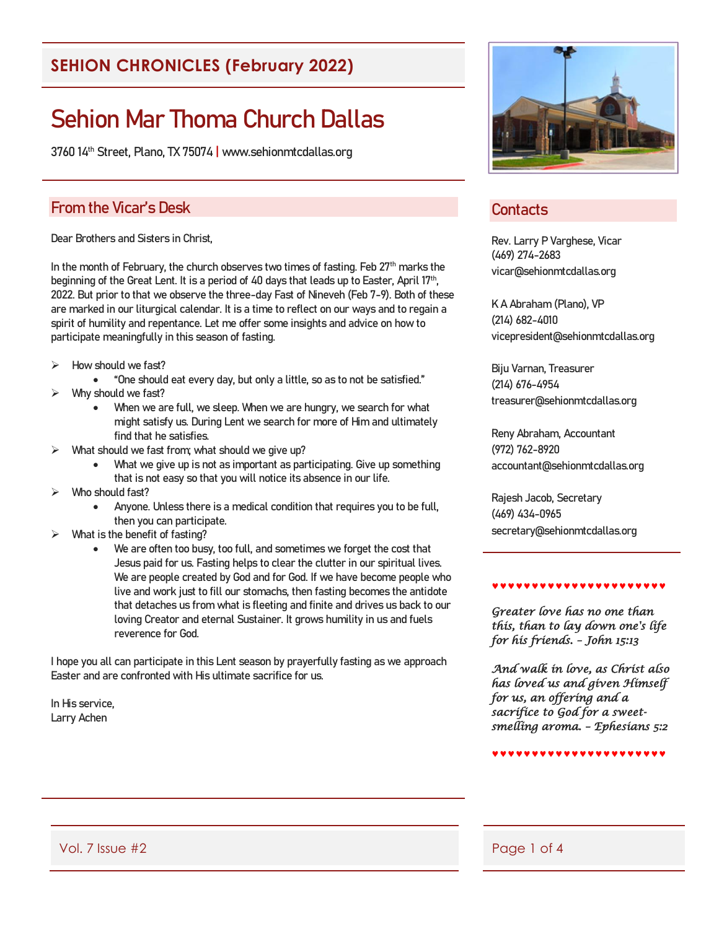## **SEHION CHRONICLES (February 2022)**

# Sehion Mar Thoma Church Dallas

3760 14th Street, Plano, TX 75074 | www.sehionmtcdallas.org

#### From the Vicar's Desk

Dear Brothers and Sisters in Christ,

In the month of February, the church observes two times of fasting. Feb 27<sup>th</sup> marks the beginning of the Great Lent. It is a period of 40 days that leads up to Easter, April 17<sup>th</sup>, 2022. But prior to that we observe the three-day Fast of Nineveh (Feb 7-9). Both of these are marked in our liturgical calendar. It is a time to reflect on our ways and to regain a spirit of humility and repentance. Let me offer some insights and advice on how to participate meaningfully in this season of fasting.

- ➢ How should we fast?
	- "One should eat every day, but only a little, so as to not be satisfied."
- ➢ Why should we fast?
	- When we are full, we sleep. When we are hungry, we search for what might satisfy us. During Lent we search for more of Him and ultimately find that he satisfies.
- What should we fast from; what should we give up?
	- What we give up is not as important as participating. Give up something that is not easy so that you will notice its absence in our life.
- Who should fast?
	- Anyone. Unless there is a medical condition that requires you to be full, then you can participate.
- What is the benefit of fasting?
	- We are often too busy, too full, and sometimes we forget the cost that Jesus paid for us. Fasting helps to clear the clutter in our spiritual lives. We are people created by God and for God. If we have become people who live and work just to fill our stomachs, then fasting becomes the antidote that detaches us from what is fleeting and finite and drives us back to our loving Creator and eternal Sustainer. It grows humility in us and fuels reverence for God.

I hope you all can participate in this Lent season by prayerfully fasting as we approach Easter and are confronted with His ultimate sacrifice for us.

In His service, Larry Achen



### **Contacts**

Rev. Larry P Varghese, Vicar (469) 274-2683 vicar@sehionmtcdallas.org

K A Abraham (Plano), VP (214) 682-4010 vicepresident@sehionmtcdallas.org

Biju Varnan, Treasurer (214) 676-4954 treasurer@sehionmtcdallas.org

Reny Abraham, Accountant (972) 762-8920 accountant@sehionmtcdallas.org

Rajesh Jacob, Secretary (469) 434-0965 secretary@sehionmtcdallas.org

#### \*\*\*\*\*\*\*\*\*\*\*\*\*\*\*\*\*\*\*\*\*

*Greater love has no one than this, than to lay down one's life for his friends. – John 15:13* 

*And walk in love, as Christ also has loved us and given Himself for us, an offering and a sacrifice to God for a sweetsmelling aroma. – Ephesians 5:2*

\*\*\*\*\*\*\*\*\*\*\*\*\*\*\*\*\*\*\*\*\*\*

Vol. 7 Issue #2 Page 1 of 4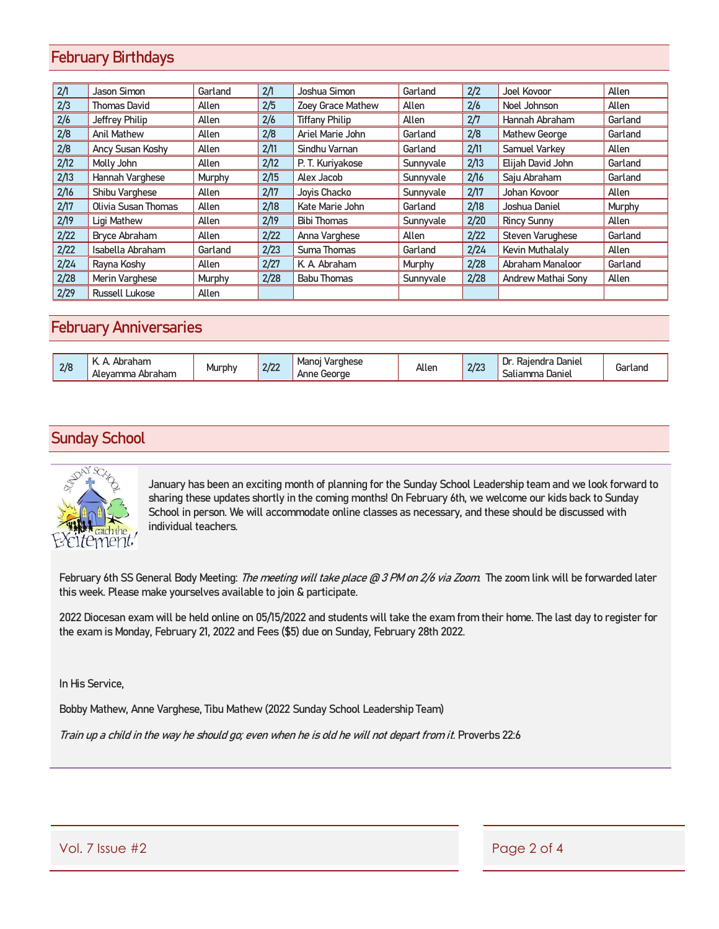### February Birthdays

| 2/1  | Jason Simon           | Garland | 2/1  | Joshua Simon             | Garland   | 2/2  | Joel Kovoor               | Allen   |
|------|-----------------------|---------|------|--------------------------|-----------|------|---------------------------|---------|
| 2/3  | <b>Thomas David</b>   | Allen   | 2/5  | <b>Zoey Grace Mathew</b> | Allen     | 2/6  | Noel Johnson              | Allen   |
| 2/6  | Jeffrey Philip        | Allen   | 2/6  | <b>Tiffany Philip</b>    | Allen     | 2/7  | Hannah Abraham            | Garland |
| 2/8  | <b>Anil Mathew</b>    | Allen   | 2/8  | Ariel Marie John         | Garland   | 2/8  | Mathew George             | Garland |
| 2/8  | Ancy Susan Koshy      | Allen   | 2/11 | Sindhu Varnan            | Garland   | 2/11 | Samuel Varkev             | Allen   |
| 2/12 | Molly John            | Allen   | 2/12 | P. T. Kuriyakose         | Sunnyvale | 2/13 | Elijah David John         | Garland |
| 2/13 | Hannah Varghese       | Murphy  | 2/15 | Alex Jacob               | Sunnyvale | 2/16 | Saju Abraham              | Garland |
| 2/16 | Shibu Varghese        | Allen   | 2/17 | Joyis Chacko             | Sunnyvale | 2/17 | Johan Kovoor              | Allen   |
| 2/17 | Olivia Susan Thomas   | Allen   | 2/18 | Kate Marie John          | Garland   | 2/18 | Joshua Daniel             | Murphy  |
| 2/19 | Ligi Mathew           | Allen   | 2/19 | <b>Bibi Thomas</b>       | Sunnyvale | 2/20 | <b>Rincy Sunny</b>        | Allen   |
| 2/22 | Brvce Abraham         | Allen   | 2/22 | Anna Varghese            | Allen     | 2/22 | Steven Varughese          | Garland |
| 2/22 | Isabella Abraham      | Garland | 2/23 | Suma Thomas              | Garland   | 2/24 | Kevin Muthalaly           | Allen   |
| 2/24 | Rayna Koshy           | Allen   | 2/27 | K. A. Abraham            | Murphy    | 2/28 | Abraham Manaloor          | Garland |
| 2/28 | Merin Varghese        | Murphy  | 2/28 | <b>Babu Thomas</b>       | Sunnyvale | 2/28 | <b>Andrew Mathai Sony</b> | Allen   |
| 2/29 | <b>Russell Lukose</b> | Allen   |      |                          |           |      |                           |         |

#### February Anniversaries

| 2/8 | ।। ।ता<br>Abraham<br>Ale<br>wan.<br>1 lc | Murphy | רמת<br>ZI ZZ | Mano<br>Varghese<br>George<br>Anne | Allen | $n \nmid n$<br>21 Z.S | Danie<br>D<br>.kaler<br>าตเ<br>Daniel<br>ں ص | <i>i</i> arland |
|-----|------------------------------------------|--------|--------------|------------------------------------|-------|-----------------------|----------------------------------------------|-----------------|
|-----|------------------------------------------|--------|--------------|------------------------------------|-------|-----------------------|----------------------------------------------|-----------------|

### Sunday School



January has been an exciting month of planning for the Sunday School Leadership team and we look forward to sharing these updates shortly in the coming months! On February 6th, we welcome our kids back to Sunday School in person. We will accommodate online classes as necessary, and these should be discussed with individual teachers.

February 6th SS General Body Meeting: *The meeting will take place @ 3 PM on 2/6 via Zoom*. The zoom link will be forwarded later this week. Please make yourselves available to join & participate.

2022 Diocesan exam will be held online on 05/15/2022 and students will take the exam from their home. The last day to register for the exam is Monday, February 21, 2022 and Fees (\$5) due on Sunday, February 28th 2022.

In His Service,

Bobby Mathew, Anne Varghese, Tibu Mathew (2022 Sunday School Leadership Team)

Train up a child in the way he should go; even when he is old he will not depart from it. Proverbs 22:6

Vol. 7 Issue #2 Page 2 of 4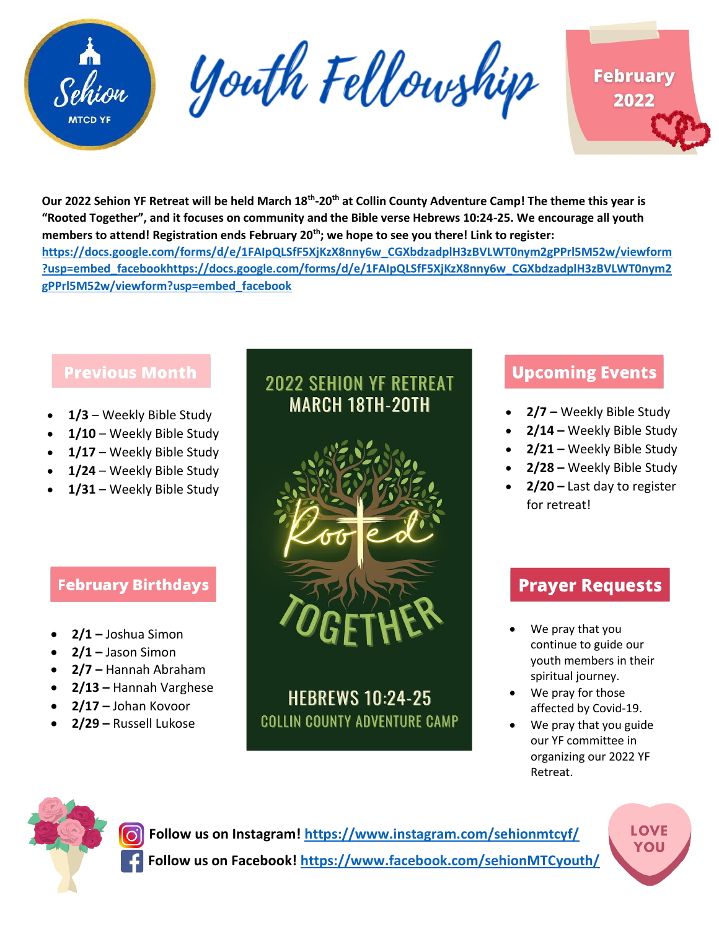

Youth Fellowship



**Our 2022 Sehion YF Retreat will be held March 18th -20th at Collin County Adventure Camp! The theme this year is "Rooted Together", and it focuses on community and the Bible verse Hebrews 10:24-25. We encourage all youth members to attend! Registration ends February 20th; we hope to see you there! Link to register: [https://docs.google.com/forms/d/e/1FAIpQLSfF5XjKzX8nny6w\\_CGXbdzadplH3zBVLWT0nym2gPPrl5M52w/viewform](https://docs.google.com/forms/d/e/1FAIpQLSfF5XjKzX8nny6w_CGXbdzadplH3zBVLWT0nym2gPPrl5M52w/viewform?usp=embed_facebookhttps://docs.google.com/forms/d/e/1FAIpQLSfF5XjKzX8nny6w_CGXbdzadplH3zBVLWT0nym2gPPrl5M52w/viewform?usp=embed_facebook) [?usp=embed\\_facebookhttps://docs.google.com/forms/d/e/1FAIpQLSfF5XjKzX8nny6w\\_CGXbdzadplH3zBVLWT0nym2](https://docs.google.com/forms/d/e/1FAIpQLSfF5XjKzX8nny6w_CGXbdzadplH3zBVLWT0nym2gPPrl5M52w/viewform?usp=embed_facebookhttps://docs.google.com/forms/d/e/1FAIpQLSfF5XjKzX8nny6w_CGXbdzadplH3zBVLWT0nym2gPPrl5M52w/viewform?usp=embed_facebook) [gPPrl5M52w/viewform?usp=embed\\_facebook](https://docs.google.com/forms/d/e/1FAIpQLSfF5XjKzX8nny6w_CGXbdzadplH3zBVLWT0nym2gPPrl5M52w/viewform?usp=embed_facebookhttps://docs.google.com/forms/d/e/1FAIpQLSfF5XjKzX8nny6w_CGXbdzadplH3zBVLWT0nym2gPPrl5M52w/viewform?usp=embed_facebook)**

### **Previous Month**

- **1/3** Weekly Bible Study
- **1/10** Weekly Bible Study
- **1/17** Weekly Bible Study
- **1/24** Weekly Bible Study
- **1/31** Weekly Bible Study

### **February Birthdays**

- **2/1 –** Joshua Simon
- **2/1 –** Jason Simon
- **2/7 –** Hannah Abraham
- **2/13 –** Hannah Varghese
- **2/17 –** Johan Kovoor
- **2/29 –** Russell Lukose

# **2022 SEHION YF RETREAT MARCH 18TH-20TH**



# **HEBREWS 10:24-25 COLLIN COUNTY ADVENTURE CAMP**

# **Upcoming Events**

- **2/7 –** Weekly Bible Study
- **2/14 –** Weekly Bible Study
- **2/21 –** Weekly Bible Study
- **2/28 –** Weekly Bible Study
- **2/20 –** Last day to register for retreat!

## **Prayer Requests**

- We pray that you continue to guide our youth members in their spiritual journey.
- We pray for those affected by Covid-19.
- We pray that you guide our YF committee in organizing our 2022 YF Retreat.



**Follow us on Instagram!<https://www.instagram.com/sehionmtcyf/> Follow us on Facebook!<https://www.facebook.com/sehionMTCyouth/>** **LOVE** ΥΟU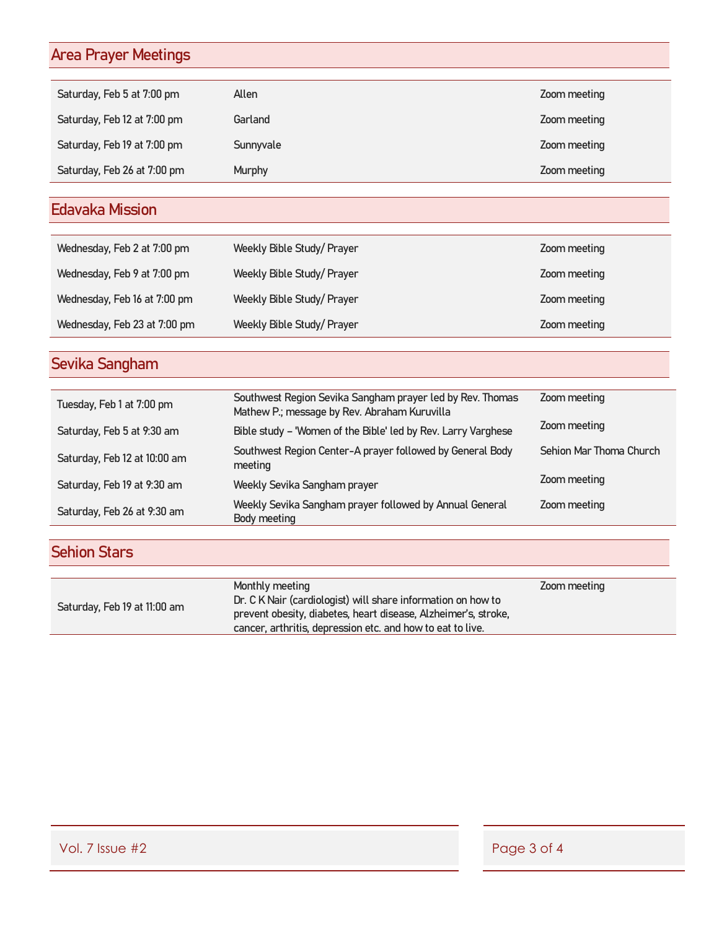# Area Prayer Meetings

| Saturday, Feb 5 at 7:00 pm  | Allen         | Zoom meeting |
|-----------------------------|---------------|--------------|
| Saturday, Feb 12 at 7:00 pm | Garland       | Zoom meeting |
| Saturday, Feb 19 at 7:00 pm | Sunnyvale     | Zoom meeting |
| Saturday, Feb 26 at 7:00 pm | <b>Murphy</b> | Zoom meeting |

# Edavaka Mission

| Wednesday, Feb 2 at 7:00 pm  | Weekly Bible Study/Prayer  | Zoom meeting |
|------------------------------|----------------------------|--------------|
| Wednesday, Feb 9 at 7:00 pm  | Weekly Bible Study/ Prayer | Zoom meeting |
| Wednesday, Feb 16 at 7:00 pm | Weekly Bible Study/ Prayer | Zoom meeting |
| Wednesday, Feb 23 at 7:00 pm | Weekly Bible Study/ Prayer | Zoom meeting |

# Sevika Sangham

| Tuesday, Feb 1 at 7:00 pm    | Southwest Region Sevika Sangham prayer led by Rev. Thomas<br>Mathew P.; message by Rev. Abraham Kuruvilla | Zoom meeting            |
|------------------------------|-----------------------------------------------------------------------------------------------------------|-------------------------|
| Saturday, Feb 5 at 9:30 am   | Bible study - 'Women of the Bible' led by Rev. Larry Varghese                                             | Zoom meeting            |
| Saturday, Feb 12 at 10:00 am | Southwest Region Center-A prayer followed by General Body<br>meeting                                      | Sehion Mar Thoma Church |
| Saturday, Feb 19 at 9:30 am  | Weekly Sevika Sangham prayer                                                                              | Zoom meeting            |
| Saturday, Feb 26 at 9:30 am  | Weekly Sevika Sangham prayer followed by Annual General<br>Body meeting                                   | Zoom meeting            |

# Sehion Stars

|                              | Monthly meeting                                                | Zoom meeting |
|------------------------------|----------------------------------------------------------------|--------------|
|                              | Dr. C K Nair (cardiologist) will share information on how to   |              |
| Saturday, Feb 19 at 11:00 am | prevent obesity, diabetes, heart disease, Alzheimer's, stroke, |              |
|                              | cancer, arthritis, depression etc. and how to eat to live.     |              |